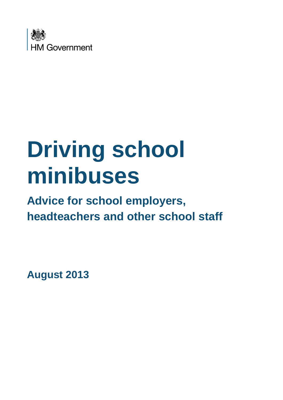

# **Driving school minibuses**

# **Advice for school employers, headteachers and other school staff**

**August 2013**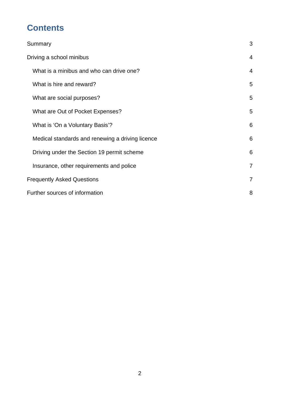# **Contents**

| Summary                                          | 3              |
|--------------------------------------------------|----------------|
| Driving a school minibus                         | $\overline{4}$ |
| What is a minibus and who can drive one?         | $\overline{4}$ |
| What is hire and reward?                         | 5              |
| What are social purposes?                        | 5              |
| What are Out of Pocket Expenses?                 | 5              |
| What is 'On a Voluntary Basis'?                  | 6              |
| Medical standards and renewing a driving licence | 6              |
| Driving under the Section 19 permit scheme       | 6              |
| Insurance, other requirements and police         | $\overline{7}$ |
| <b>Frequently Asked Questions</b>                | $\overline{7}$ |
| Further sources of information                   | 8              |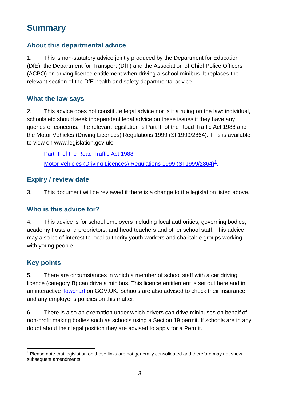# <span id="page-2-0"></span>**Summary**

#### **About this departmental advice**

1. This is non-statutory advice jointly produced by the Department for Education (DfE), the Department for Transport (DfT) and the Association of Chief Police Officers (ACPO) on driving licence entitlement when driving a school minibus. It replaces the relevant section of the DfE health and safety departmental advice.

#### **What the law says**

2. This advice does not constitute legal advice nor is it a ruling on the law: individual, schools etc should seek independent legal advice on these issues if they have any queries or concerns. The relevant legislation is Part III of the Road Traffic Act 1988 and the Motor Vehicles (Driving Licences) Regulations 1999 (SI 1999/2864). This is available to view on www.legislation.gov.uk:

[Part III of the Road Traffic Act 1988](http://www.legislation.gov.uk/ukpga/1988/52/part/III) [Motor Vehicles \(Driving Licences\) Regulations 1999 \(SI 1999/2864\)](http://www.legislation.gov.uk/uksi/1999/2864/contents/made)<sup>[1](#page-2-1)</sup>.

#### **Expiry / review date**

3. This document will be reviewed if there is a change to the legislation listed above.

#### **Who is this advice for?**

4. This advice is for school employers including local authorities, governing bodies, academy trusts and proprietors; and head teachers and other school staff. This advice may also be of interest to local authority youth workers and charitable groups working with young people.

#### **Key points**

5. There are circumstances in which a member of school staff with a car driving licence (category B) can drive a minibus. This licence entitlement is set out here and in an interactive [flowchart](https://www.gov.uk/vehicles-you-can-drive) on GOV.UK. Schools are also advised to check their insurance and any employer's policies on this matter.

6. There is also an exemption under which drivers can drive minibuses on behalf of non-profit making bodies such as schools using a Section 19 permit. If schools are in any doubt about their legal position they are advised to apply for a Permit.

<span id="page-2-1"></span>  $1$  Please note that legislation on these links are not generally consolidated and therefore may not show subsequent amendments.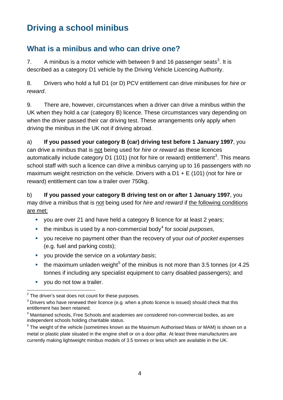# <span id="page-3-0"></span>**Driving a school minibus**

#### <span id="page-3-1"></span>**What is a minibus and who can drive one?**

7. A minibus is a motor vehicle with between 9 and 16 passenger seats<sup>[2](#page-3-2)</sup>. It is described as a category D1 vehicle by the Driving Vehicle Licencing Authority.

8. Drivers who hold a full D1 (or D) PCV entitlement can drive minibuses for *hire or reward*.

9. There are, however, circumstances when a driver can drive a minibus within the UK when they hold a car (category B) licence. These circumstances vary depending on when the driver passed their car driving test. These arrangements only apply when driving the minibus in the UK not if driving abroad.

a) **If you passed your category B (car) driving test before 1 January 1997**, you can drive a minibus that is not being used for *hire or reward* as these licences automatically include category D1 (101) (not for hire or reward) entitlement<sup>[3](#page-3-3)</sup>. This means school staff with such a licence can drive a minibus carrying up to 16 passengers with no maximum weight restriction on the vehicle. Drivers with a  $D1 + E$  (101) (not for hire or reward) entitlement can tow a trailer over 750kg.

b) **If you passed your category B driving test on or after 1 January 1997**, you may drive a minibus that is not being used for *hire and reward* if the following conditions are met:

- you are over 21 and have held a category B licence for at least 2 years;
- the minibus is used by a non-commercial body<sup>[4](#page-3-4)</sup> for *social purposes*,
- you receive no payment other than the recovery of your *out of pocket expenses* (e.g. fuel and parking costs);
- you provide the service on a *voluntary basis*;
- the maximum unladen weight<sup>[5](#page-3-5)</sup> of the minibus is not more than 3.5 tonnes (or 4.25 tonnes if including any specialist equipment to carry disabled passengers); and
- vou do not tow a trailer.

 $\overline{a}$  $2$  The driver's seat does not count for these purposes.

<span id="page-3-3"></span><span id="page-3-2"></span> $3$  Drivers who have renewed their licence (e.g. when a photo licence is issued) should check that this entitlement has been retained.

<span id="page-3-4"></span><sup>&</sup>lt;sup>4</sup> Maintained schools, Free Schools and academies are considered non-commercial bodies, as are independent schools holding charitable status.

<span id="page-3-5"></span><sup>&</sup>lt;sup>5</sup> The weight of the vehicle (sometimes known as the Maximum Authorised Mass or MAM) is shown on a metal or plastic plate situated in the engine shell or on a door pillar. At least three manufacturers are currently making lightweight minibus models of 3.5 tonnes or less which are available in the UK.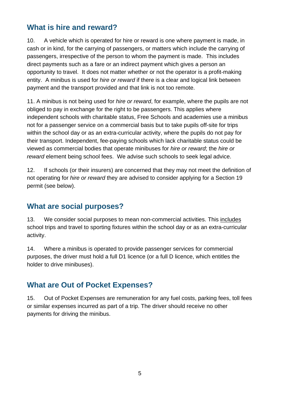#### <span id="page-4-0"></span>**What is hire and reward?**

10. A vehicle which is operated for hire or reward is one where payment is made, in cash or in kind, for the carrying of passengers, or matters which include the carrying of passengers, irrespective of the person to whom the payment is made. This includes direct payments such as a fare or an indirect payment which gives a person an opportunity to travel. It does not matter whether or not the operator is a profit-making entity. A minibus is used for *hire or reward* if there is a clear and logical link between payment and the transport provided and that link is not too remote.

11. A minibus is not being used for *hire or reward*, for example, where the pupils are not obliged to pay in exchange for the right to be passengers. This applies where independent schools with charitable status, Free Schools and academies use a minibus not for a passenger service on a commercial basis but to take pupils off-site for trips within the school day or as an extra-curricular activity, where the pupils do not pay for their transport. Independent, fee-paying schools which lack charitable status could be viewed as commercial bodies that operate minibuses for *hire or reward*; the *hire or reward* element being school fees. We advise such schools to seek legal advice.

12. If schools (or their insurers) are concerned that they may not meet the definition of not operating for *hire or reward* they are advised to consider applying for a Section 19 permit (see below).

#### <span id="page-4-1"></span>**What are social purposes?**

13. We consider social purposes to mean non-commercial activities. This includes school trips and travel to sporting fixtures within the school day or as an extra-curricular activity.

14. Where a minibus is operated to provide passenger services for commercial purposes, the driver must hold a full D1 licence (or a full D licence, which entitles the holder to drive minibuses).

#### <span id="page-4-2"></span>**What are Out of Pocket Expenses?**

15. Out of Pocket Expenses are remuneration for any fuel costs, parking fees, toll fees or similar expenses incurred as part of a trip. The driver should receive no other payments for driving the minibus.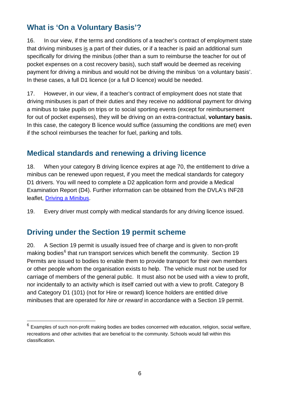### <span id="page-5-0"></span>**What is 'On a Voluntary Basis'?**

16. In our view, if the terms and conditions of a teacher's contract of employment state that driving minibuses is a part of their duties, or if a teacher is paid an additional sum specifically for driving the minibus (other than a sum to reimburse the teacher for out of pocket expenses on a cost recovery basis), such staff would be deemed as receiving payment for driving a minibus and would not be driving the minibus 'on a voluntary basis'. In these cases, a full D1 licence (or a full D licence) would be needed.

17. However, in our view, if a teacher's contract of employment does not state that driving minibuses is part of their duties and they receive no additional payment for driving a minibus to take pupils on trips or to social sporting events (except for reimbursement for out of pocket expenses), they will be driving on an extra-contractual, **voluntary basis.**  In this case, the category B licence would suffice (assuming the conditions are met) even if the school reimburses the teacher for fuel, parking and tolls.

#### <span id="page-5-1"></span>**Medical standards and renewing a driving licence**

18. When your category B driving licence expires at age 70, the entitlement to drive a minibus can be renewed upon request, if you meet the medical standards for category D1 drivers. You will need to complete a D2 application form and provide a Medical Examination Report (D4). Further information can be obtained from the DVLA's INF28 leaflet, [Driving a Minibus.](http://www.direct.gov.uk/prod_consum_dg/groups/dg_digitalassets/@dg/@en/@motor/documents/digitalasset/dg_4011275.pdf)

19. Every driver must comply with medical standards for any driving licence issued.

#### <span id="page-5-2"></span>**Driving under the Section 19 permit scheme**

 $\overline{a}$ 

20. A Section 19 permit is usually issued free of charge and is given to non-profit making bodies<sup>[6](#page-5-3)</sup> that run transport services which benefit the community. Section 19 Permits are issued to bodies to enable them to provide transport for their own members or other people whom the organisation exists to help. The vehicle must not be used for carriage of members of the general public. It must also not be used with a view to profit, nor incidentally to an activity which is itself carried out with a view to profit. Category B and Category D1 (101) (not for Hire or reward) licence holders are entitled drive minibuses that are operated for *hire or reward* in accordance with a Section 19 permit.

<span id="page-5-3"></span> $6$  Examples of such non-profit making bodies are bodies concerned with education, religion, social welfare, recreations and other activities that are beneficial to the community. Schools would fall within this classification.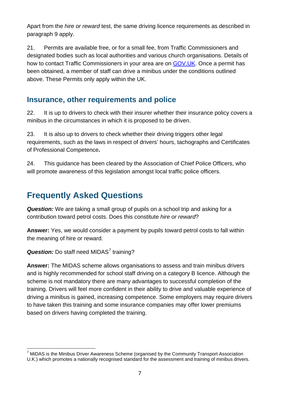Apart from the *hire or reward* test, the same driving licence requirements as described in paragraph 9 apply.

21. Permits are available free, or for a small fee, from Traffic Commissioners and designated bodies such as local authorities and various church organisations. Details of how to contact Traffic Commissioners in your area are on [GOV.UK.](https://www.gov.uk/government/organisations/traffic-commissioners/about/access-and-opening) Once a permit has been obtained, a member of staff can drive a minibus under the conditions outlined above. These Permits only apply within the UK.

#### <span id="page-6-0"></span>**Insurance, other requirements and police**

22. It is up to drivers to check with their insurer whether their insurance policy covers a minibus in the circumstances in which it is proposed to be driven.

23. It is also up to drivers to check whether their driving triggers other legal requirements, such as the laws in respect of drivers' hours, tachographs and Certificates of Professional Competence**.** 

24. This guidance has been cleared by the Association of Chief Police Officers, who will promote awareness of this legislation amongst local traffic police officers.

# <span id="page-6-1"></span>**Frequently Asked Questions**

*Question:* We are taking a small group of pupils on a school trip and asking for a contribution toward petrol costs. Does this constitute *hire or reward*?

**Answer:** Yes, we would consider a payment by pupils toward petrol costs to fall within the meaning of hire or reward.

**Question:** Do staff need MIDAS<sup>[7](#page-6-2)</sup> training?

**Answer:** The MIDAS scheme allows organisations to assess and train minibus drivers and is highly recommended for school staff driving on a category B licence. Although the scheme is not mandatory there are many advantages to successful completion of the training. Drivers will feel more confident in their ability to drive and valuable experience of driving a minibus is gained, increasing competence. Some employers may require drivers to have taken this training and some insurance companies may offer lower premiums based on drivers having completed the training.

<span id="page-6-2"></span> $\overline{a}$  $7$  MiDAS is the Minibus Driver Awareness Scheme (organised by the Community Transport Association U.K.) which promotes a nationally recognised standard for the assessment and training of minibus drivers.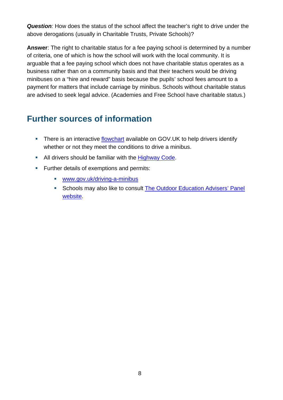*Question:* How does the status of the school affect the teacher's right to drive under the above derogations (usually in Charitable Trusts, Private Schools)?

**Answer**: The right to charitable status for a fee paying school is determined by a number of criteria, one of which is how the school will work with the local community. It is arguable that a fee paying school which does not have charitable status operates as a business rather than on a community basis and that their teachers would be driving minibuses on a "hire and reward" basis because the pupils' school fees amount to a payment for matters that include carriage by minibus. Schools without charitable status are advised to seek legal advice. (Academies and Free School have charitable status.)

## <span id="page-7-0"></span>**Further sources of information**

- There is an interactive [flowchart](https://www.gov.uk/vehicles-you-can-drive) available on GOV.UK to help drivers identify whether or not they meet the conditions to drive a minibus.
- All drivers should be familiar with the [Highway Code.](https://www.gov.uk/highway-code/contents)
- **Further details of exemptions and permits:** 
	- [www.gov.uk/driving-a-minibus](http://www.gov.uk/driving-a-minibus)
	- **Schools may also like to consult The Outdoor Education Advisers' Panel** [website.](http://oeap.info/)